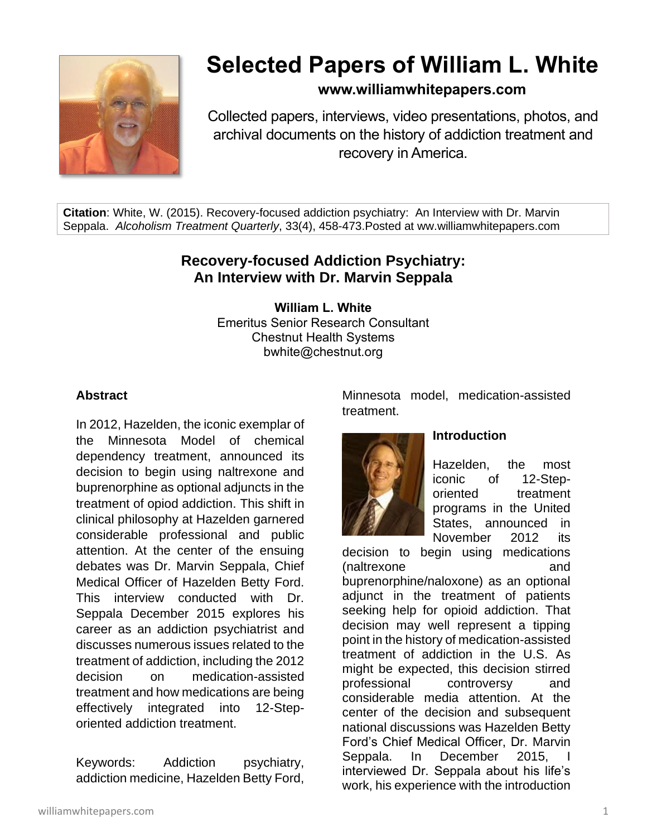

# **Selected Papers of William L. White**

### **www.williamwhitepapers.com**

Collected papers, interviews, video presentations, photos, and archival documents on the history of addiction treatment and recovery in America.

**Citation**: White, W. (2015). Recovery-focused addiction psychiatry: An Interview with Dr. Marvin Seppala. *Alcoholism Treatment Quarterly*, 33(4), 458-473.Posted at ww.williamwhitepapers.com

## **Recovery-focused Addiction Psychiatry: An Interview with Dr. Marvin Seppala**

**William L. White** Emeritus Senior Research Consultant Chestnut Health Systems bwhite@chestnut.org

#### **Abstract**

In 2012, Hazelden, the iconic exemplar of the Minnesota Model of chemical dependency treatment, announced its decision to begin using naltrexone and buprenorphine as optional adjuncts in the treatment of opiod addiction. This shift in clinical philosophy at Hazelden garnered considerable professional and public attention. At the center of the ensuing debates was Dr. Marvin Seppala, Chief Medical Officer of Hazelden Betty Ford. This interview conducted with Dr. Seppala December 2015 explores his career as an addiction psychiatrist and discusses numerous issues related to the treatment of addiction, including the 2012 decision on medication-assisted treatment and how medications are being effectively integrated into 12-Steporiented addiction treatment.

Keywords: Addiction psychiatry, addiction medicine, Hazelden Betty Ford, Minnesota model, medication-assisted treatment.



#### **Introduction**

Hazelden, the most iconic of 12-Steporiented treatment programs in the United States, announced in November 2012 its

decision to begin using medications (naltrexone and buprenorphine/naloxone) as an optional adjunct in the treatment of patients seeking help for opioid addiction. That decision may well represent a tipping point in the history of medication-assisted treatment of addiction in the U.S. As might be expected, this decision stirred professional controversy and considerable media attention. At the center of the decision and subsequent national discussions was Hazelden Betty Ford's Chief Medical Officer, Dr. Marvin Seppala. In December 2015, interviewed Dr. Seppala about his life's work, his experience with the introduction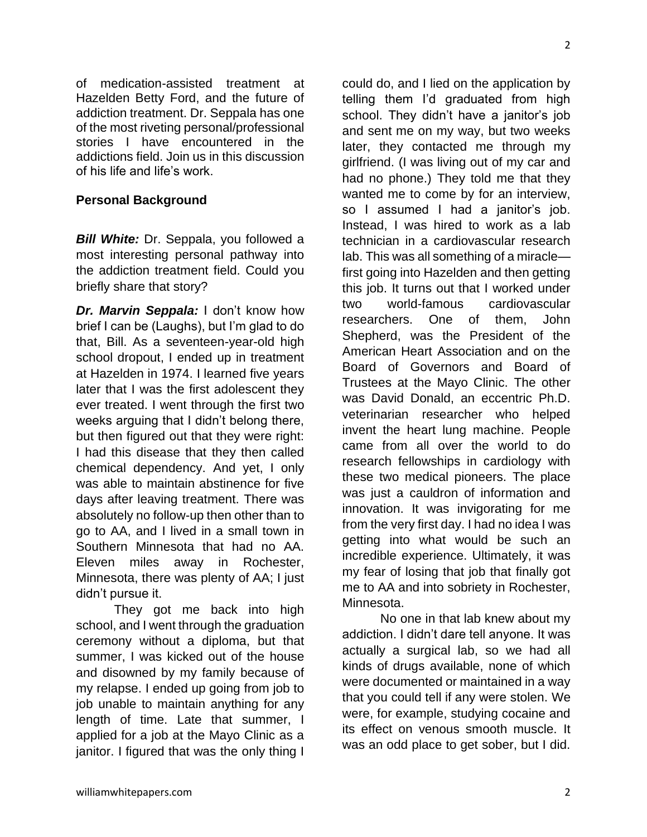summer, I was kicked out of the house

didn't pursue it.

and disowned by my family because of my relapse. I ended up going from job to job unable to maintain anything for any length of time. Late that summer, I applied for a job at the Mayo Clinic as a janitor. I figured that was the only thing I

school, and I went through the graduation ceremony without a diploma, but that

They got me back into high

of medication-assisted treatment at Hazelden Betty Ford, and the future of addiction treatment. Dr. Seppala has one of the most riveting personal/professional stories I have encountered in the addictions field. Join us in this discussion

*Bill White: Dr. Seppala, you followed a* most interesting personal pathway into the addiction treatment field. Could you

*Dr. Marvin Seppala:* I don't know how brief I can be (Laughs), but I'm glad to do that, Bill. As a seventeen-year-old high school dropout, I ended up in treatment at Hazelden in 1974. I learned five years later that I was the first adolescent they ever treated. I went through the first two weeks arguing that I didn't belong there, but then figured out that they were right: I had this disease that they then called chemical dependency. And yet, I only was able to maintain abstinence for five days after leaving treatment. There was absolutely no follow-up then other than to go to AA, and I lived in a small town in Southern Minnesota that had no AA. Eleven miles away in Rochester, Minnesota, there was plenty of AA; I just

of his life and life's work.

**Personal Background**

briefly share that story?

could do, and I lied on the application by telling them I'd graduated from high school. They didn't have a janitor's job and sent me on my way, but two weeks later, they contacted me through my girlfriend. (I was living out of my car and had no phone.) They told me that they wanted me to come by for an interview, so I assumed I had a janitor's job. Instead, I was hired to work as a lab technician in a cardiovascular research lab. This was all something of a miracle first going into Hazelden and then getting this job. It turns out that I worked under two world-famous cardiovascular researchers. One of them, John Shepherd, was the President of the American Heart Association and on the Board of Governors and Board of Trustees at the Mayo Clinic. The other was David Donald, an eccentric Ph.D. veterinarian researcher who helped invent the heart lung machine. People came from all over the world to do research fellowships in cardiology with these two medical pioneers. The place was just a cauldron of information and innovation. It was invigorating for me from the very first day. I had no idea I was getting into what would be such an incredible experience. Ultimately, it was my fear of losing that job that finally got me to AA and into sobriety in Rochester, Minnesota.

No one in that lab knew about my addiction. I didn't dare tell anyone. It was actually a surgical lab, so we had all kinds of drugs available, none of which were documented or maintained in a way that you could tell if any were stolen. We were, for example, studying cocaine and its effect on venous smooth muscle. It was an odd place to get sober, but I did.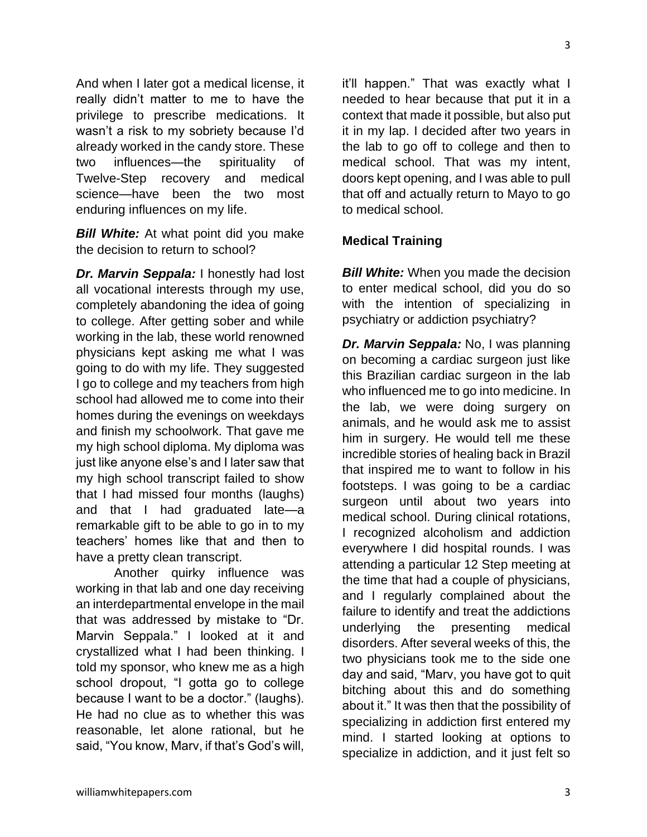And when I later got a medical license, it really didn't matter to me to have the privilege to prescribe medications. It wasn't a risk to my sobriety because I'd already worked in the candy store. These two influences—the spirituality of Twelve-Step recovery and medical science—have been the two most enduring influences on my life.

*Bill White:* At what point did you make the decision to return to school?

*Dr. Marvin Seppala:* I honestly had lost all vocational interests through my use, completely abandoning the idea of going to college. After getting sober and while working in the lab, these world renowned physicians kept asking me what I was going to do with my life. They suggested I go to college and my teachers from high school had allowed me to come into their homes during the evenings on weekdays and finish my schoolwork. That gave me my high school diploma. My diploma was just like anyone else's and I later saw that my high school transcript failed to show that I had missed four months (laughs) and that I had graduated late—a remarkable gift to be able to go in to my teachers' homes like that and then to have a pretty clean transcript.

Another quirky influence was working in that lab and one day receiving an interdepartmental envelope in the mail that was addressed by mistake to "Dr. Marvin Seppala." I looked at it and crystallized what I had been thinking. I told my sponsor, who knew me as a high school dropout, "I gotta go to college because I want to be a doctor." (laughs). He had no clue as to whether this was reasonable, let alone rational, but he said, "You know, Marv, if that's God's will,

it'll happen." That was exactly what I needed to hear because that put it in a context that made it possible, but also put it in my lap. I decided after two years in the lab to go off to college and then to medical school. That was my intent, doors kept opening, and I was able to pull that off and actually return to Mayo to go to medical school.

#### **Medical Training**

*Bill White:* When you made the decision to enter medical school, did you do so with the intention of specializing in psychiatry or addiction psychiatry?

*Dr. Marvin Seppala:* No, I was planning on becoming a cardiac surgeon just like this Brazilian cardiac surgeon in the lab who influenced me to go into medicine. In the lab, we were doing surgery on animals, and he would ask me to assist him in surgery. He would tell me these incredible stories of healing back in Brazil that inspired me to want to follow in his footsteps. I was going to be a cardiac surgeon until about two years into medical school. During clinical rotations, I recognized alcoholism and addiction everywhere I did hospital rounds. I was attending a particular 12 Step meeting at the time that had a couple of physicians, and I regularly complained about the failure to identify and treat the addictions underlying the presenting medical disorders. After several weeks of this, the two physicians took me to the side one day and said, "Marv, you have got to quit bitching about this and do something about it." It was then that the possibility of specializing in addiction first entered my mind. I started looking at options to specialize in addiction, and it just felt so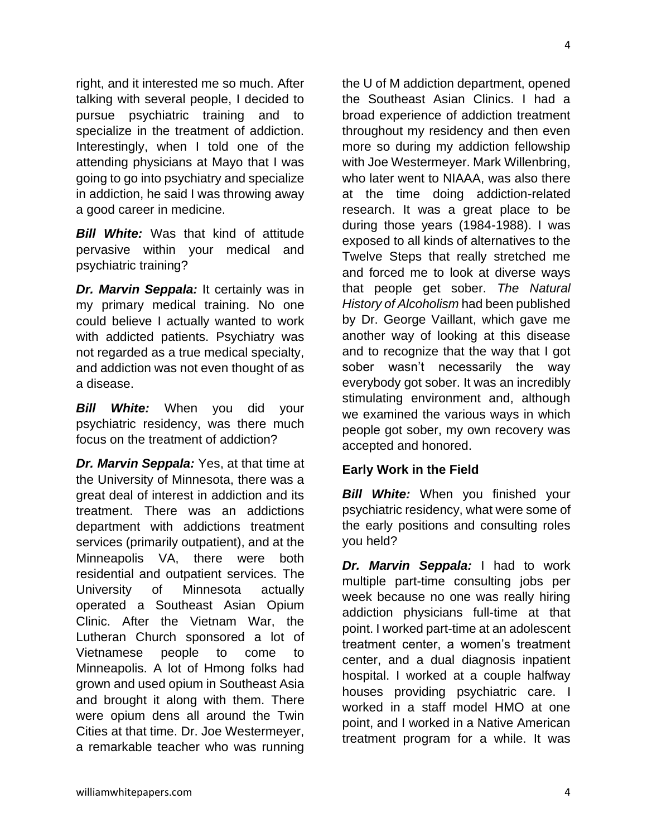right, and it interested me so much. After talking with several people, I decided to pursue psychiatric training and to specialize in the treatment of addiction. Interestingly, when I told one of the attending physicians at Mayo that I was going to go into psychiatry and specialize in addiction, he said I was throwing away a good career in medicine.

**Bill White:** Was that kind of attitude pervasive within your medical and psychiatric training?

*Dr. Marvin Seppala:* It certainly was in my primary medical training. No one could believe I actually wanted to work with addicted patients. Psychiatry was not regarded as a true medical specialty, and addiction was not even thought of as a disease.

*Bill White:* When you did your psychiatric residency, was there much focus on the treatment of addiction?

*Dr. Marvin Seppala:* Yes, at that time at the University of Minnesota, there was a great deal of interest in addiction and its treatment. There was an addictions department with addictions treatment services (primarily outpatient), and at the Minneapolis VA, there were both residential and outpatient services. The University of Minnesota actually operated a Southeast Asian Opium Clinic. After the Vietnam War, the Lutheran Church sponsored a lot of Vietnamese people to come to Minneapolis. A lot of Hmong folks had grown and used opium in Southeast Asia and brought it along with them. There were opium dens all around the Twin Cities at that time. Dr. Joe Westermeyer, a remarkable teacher who was running the U of M addiction department, opened the Southeast Asian Clinics. I had a broad experience of addiction treatment throughout my residency and then even more so during my addiction fellowship with Joe Westermeyer. Mark Willenbring, who later went to NIAAA, was also there at the time doing addiction-related research. It was a great place to be during those years (1984-1988). I was exposed to all kinds of alternatives to the Twelve Steps that really stretched me and forced me to look at diverse ways that people get sober. *The Natural History of Alcoholism* had been published by Dr. George Vaillant, which gave me another way of looking at this disease and to recognize that the way that I got sober wasn't necessarily the way everybody got sober. It was an incredibly stimulating environment and, although we examined the various ways in which people got sober, my own recovery was accepted and honored.

#### **Early Work in the Field**

*Bill White:* When you finished your psychiatric residency, what were some of the early positions and consulting roles you held?

*Dr. Marvin Seppala:* I had to work multiple part-time consulting jobs per week because no one was really hiring addiction physicians full-time at that point. I worked part-time at an adolescent treatment center, a women's treatment center, and a dual diagnosis inpatient hospital. I worked at a couple halfway houses providing psychiatric care. I worked in a staff model HMO at one point, and I worked in a Native American treatment program for a while. It was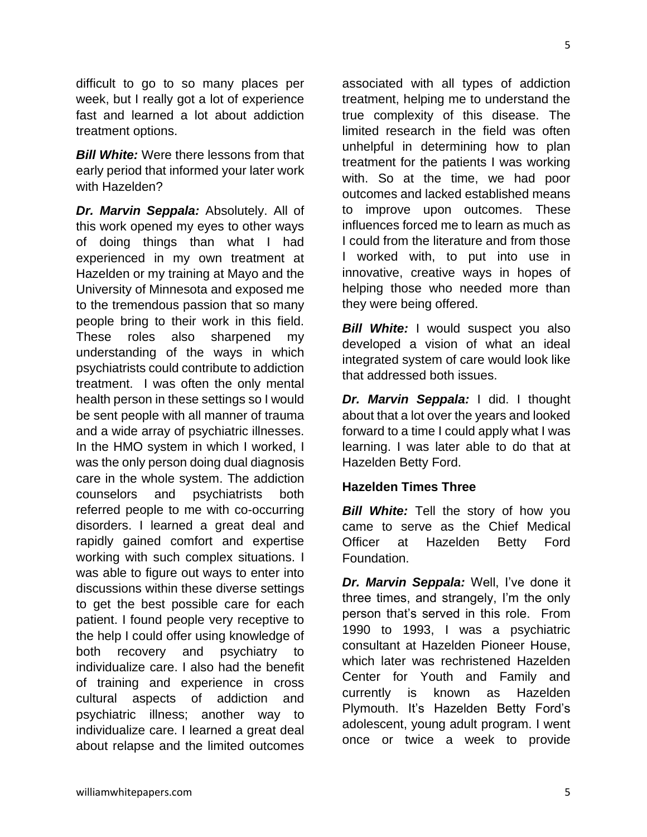difficult to go to so many places per week, but I really got a lot of experience fast and learned a lot about addiction treatment options.

*Bill White:* Were there lessons from that early period that informed your later work with Hazelden?

*Dr. Marvin Seppala:* Absolutely. All of this work opened my eyes to other ways of doing things than what I had experienced in my own treatment at Hazelden or my training at Mayo and the University of Minnesota and exposed me to the tremendous passion that so many people bring to their work in this field. These roles also sharpened my understanding of the ways in which psychiatrists could contribute to addiction treatment. I was often the only mental health person in these settings so I would be sent people with all manner of trauma and a wide array of psychiatric illnesses. In the HMO system in which I worked, I was the only person doing dual diagnosis care in the whole system. The addiction counselors and psychiatrists both referred people to me with co-occurring disorders. I learned a great deal and rapidly gained comfort and expertise working with such complex situations. I was able to figure out ways to enter into discussions within these diverse settings to get the best possible care for each patient. I found people very receptive to the help I could offer using knowledge of both recovery and psychiatry to individualize care. I also had the benefit of training and experience in cross cultural aspects of addiction and psychiatric illness; another way to individualize care. I learned a great deal about relapse and the limited outcomes

associated with all types of addiction treatment, helping me to understand the true complexity of this disease. The limited research in the field was often unhelpful in determining how to plan treatment for the patients I was working with. So at the time, we had poor outcomes and lacked established means to improve upon outcomes. These influences forced me to learn as much as I could from the literature and from those I worked with, to put into use in innovative, creative ways in hopes of helping those who needed more than they were being offered.

*Bill White:* I would suspect you also developed a vision of what an ideal integrated system of care would look like that addressed both issues.

*Dr. Marvin Seppala:* I did. I thought about that a lot over the years and looked forward to a time I could apply what I was learning. I was later able to do that at Hazelden Betty Ford.

#### **Hazelden Times Three**

*Bill White:* Tell the story of how you came to serve as the Chief Medical Officer at Hazelden Betty Ford Foundation.

*Dr. Marvin Seppala:* Well, I've done it three times, and strangely, I'm the only person that's served in this role. From 1990 to 1993, I was a psychiatric consultant at Hazelden Pioneer House, which later was rechristened Hazelden Center for Youth and Family and currently is known as Hazelden Plymouth. It's Hazelden Betty Ford's adolescent, young adult program. I went once or twice a week to provide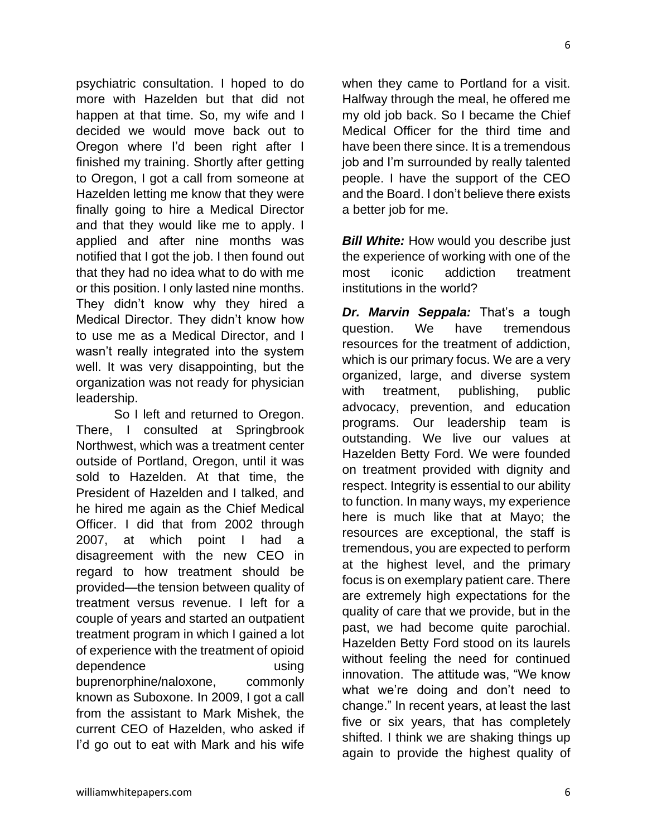psychiatric consultation. I hoped to do more with Hazelden but that did not happen at that time. So, my wife and I decided we would move back out to Oregon where I'd been right after I finished my training. Shortly after getting to Oregon, I got a call from someone at Hazelden letting me know that they were finally going to hire a Medical Director and that they would like me to apply. I applied and after nine months was notified that I got the job. I then found out that they had no idea what to do with me or this position. I only lasted nine months. They didn't know why they hired a Medical Director. They didn't know how to use me as a Medical Director, and I wasn't really integrated into the system well. It was very disappointing, but the organization was not ready for physician leadership.

So I left and returned to Oregon. There, I consulted at Springbrook Northwest, which was a treatment center outside of Portland, Oregon, until it was sold to Hazelden. At that time, the President of Hazelden and I talked, and he hired me again as the Chief Medical Officer. I did that from 2002 through 2007, at which point I had a disagreement with the new CEO in regard to how treatment should be provided—the tension between quality of treatment versus revenue. I left for a couple of years and started an outpatient treatment program in which I gained a lot of experience with the treatment of opioid dependence using buprenorphine/naloxone, commonly known as Suboxone. In 2009, I got a call from the assistant to Mark Mishek, the current CEO of Hazelden, who asked if I'd go out to eat with Mark and his wife

when they came to Portland for a visit. Halfway through the meal, he offered me my old job back. So I became the Chief Medical Officer for the third time and have been there since. It is a tremendous job and I'm surrounded by really talented people. I have the support of the CEO and the Board. I don't believe there exists a better job for me.

*Bill White:* How would you describe just the experience of working with one of the most iconic addiction treatment institutions in the world?

**Dr. Marvin Seppala:** That's a tough question. We have tremendous resources for the treatment of addiction, which is our primary focus. We are a very organized, large, and diverse system with treatment, publishing, public advocacy, prevention, and education programs. Our leadership team is outstanding. We live our values at Hazelden Betty Ford. We were founded on treatment provided with dignity and respect. Integrity is essential to our ability to function. In many ways, my experience here is much like that at Mayo; the resources are exceptional, the staff is tremendous, you are expected to perform at the highest level, and the primary focus is on exemplary patient care. There are extremely high expectations for the quality of care that we provide, but in the past, we had become quite parochial. Hazelden Betty Ford stood on its laurels without feeling the need for continued innovation. The attitude was, "We know what we're doing and don't need to change." In recent years, at least the last five or six years, that has completely shifted. I think we are shaking things up again to provide the highest quality of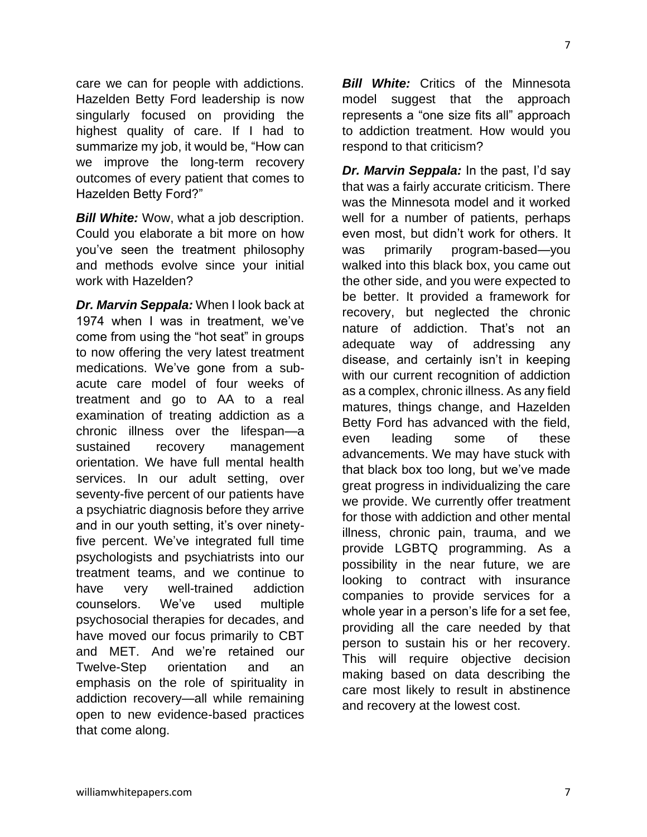care we can for people with addictions. Hazelden Betty Ford leadership is now singularly focused on providing the highest quality of care. If I had to summarize my job, it would be, "How can we improve the long-term recovery outcomes of every patient that comes to Hazelden Betty Ford?"

*Bill White:* Wow, what a job description. Could you elaborate a bit more on how you've seen the treatment philosophy and methods evolve since your initial work with Hazelden?

*Dr. Marvin Seppala:* When I look back at 1974 when I was in treatment, we've come from using the "hot seat" in groups to now offering the very latest treatment medications. We've gone from a subacute care model of four weeks of treatment and go to AA to a real examination of treating addiction as a chronic illness over the lifespan—a sustained recovery management orientation. We have full mental health services. In our adult setting, over seventy-five percent of our patients have a psychiatric diagnosis before they arrive and in our youth setting, it's over ninetyfive percent. We've integrated full time psychologists and psychiatrists into our treatment teams, and we continue to have very well-trained addiction counselors. We've used multiple psychosocial therapies for decades, and have moved our focus primarily to CBT and MET. And we're retained our Twelve-Step orientation and an emphasis on the role of spirituality in addiction recovery—all while remaining open to new evidence-based practices that come along.

*Bill White:* Critics of the Minnesota model suggest that the approach represents a "one size fits all" approach to addiction treatment. How would you respond to that criticism?

*Dr. Marvin Seppala:* In the past, I'd say that was a fairly accurate criticism. There was the Minnesota model and it worked well for a number of patients, perhaps even most, but didn't work for others. It was primarily program-based—you walked into this black box, you came out the other side, and you were expected to be better. It provided a framework for recovery, but neglected the chronic nature of addiction. That's not an adequate way of addressing any disease, and certainly isn't in keeping with our current recognition of addiction as a complex, chronic illness. As any field matures, things change, and Hazelden Betty Ford has advanced with the field, even leading some of these advancements. We may have stuck with that black box too long, but we've made great progress in individualizing the care we provide. We currently offer treatment for those with addiction and other mental illness, chronic pain, trauma, and we provide LGBTQ programming. As a possibility in the near future, we are looking to contract with insurance companies to provide services for a whole year in a person's life for a set fee, providing all the care needed by that person to sustain his or her recovery. This will require objective decision making based on data describing the care most likely to result in abstinence and recovery at the lowest cost.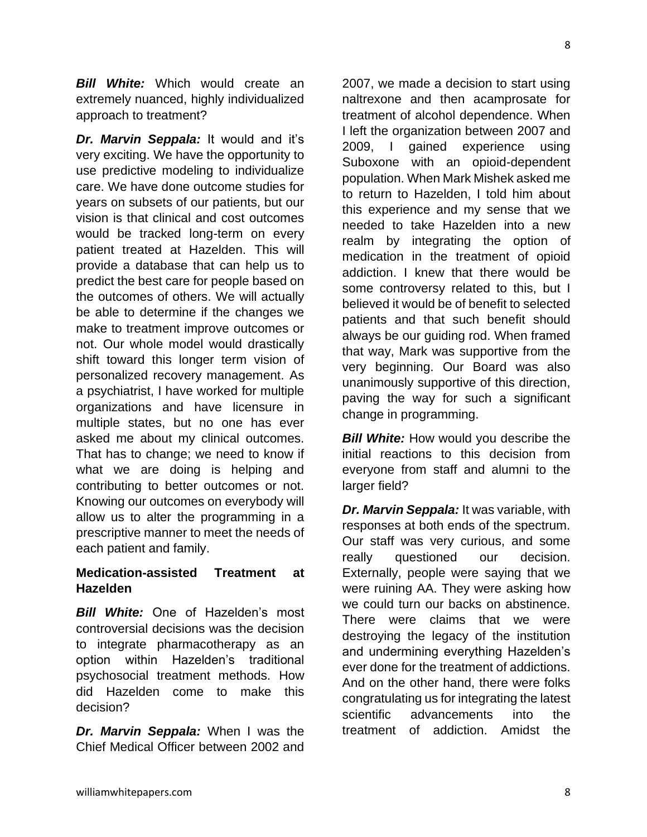*Bill White:* Which would create an extremely nuanced, highly individualized approach to treatment?

*Dr. Marvin Seppala:* It would and it's very exciting. We have the opportunity to use predictive modeling to individualize care. We have done outcome studies for years on subsets of our patients, but our vision is that clinical and cost outcomes would be tracked long-term on every patient treated at Hazelden. This will provide a database that can help us to predict the best care for people based on the outcomes of others. We will actually be able to determine if the changes we make to treatment improve outcomes or not. Our whole model would drastically shift toward this longer term vision of personalized recovery management. As a psychiatrist, I have worked for multiple organizations and have licensure in multiple states, but no one has ever asked me about my clinical outcomes. That has to change; we need to know if what we are doing is helping and contributing to better outcomes or not. Knowing our outcomes on everybody will allow us to alter the programming in a prescriptive manner to meet the needs of each patient and family.

#### **Medication-assisted Treatment at Hazelden**

*Bill White:* One of Hazelden's most controversial decisions was the decision to integrate pharmacotherapy as an option within Hazelden's traditional psychosocial treatment methods. How did Hazelden come to make this decision?

*Dr. Marvin Seppala:* When I was the Chief Medical Officer between 2002 and 2007, we made a decision to start using naltrexone and then acamprosate for treatment of alcohol dependence. When I left the organization between 2007 and 2009, I gained experience using Suboxone with an opioid-dependent population. When Mark Mishek asked me to return to Hazelden, I told him about this experience and my sense that we needed to take Hazelden into a new realm by integrating the option of medication in the treatment of opioid addiction. I knew that there would be some controversy related to this, but I believed it would be of benefit to selected patients and that such benefit should always be our guiding rod. When framed that way, Mark was supportive from the very beginning. Our Board was also unanimously supportive of this direction, paving the way for such a significant change in programming.

*Bill White:* How would you describe the initial reactions to this decision from everyone from staff and alumni to the larger field?

*Dr. Marvin Seppala:* It was variable, with responses at both ends of the spectrum. Our staff was very curious, and some really questioned our decision. Externally, people were saying that we were ruining AA. They were asking how we could turn our backs on abstinence. There were claims that we were destroying the legacy of the institution and undermining everything Hazelden's ever done for the treatment of addictions. And on the other hand, there were folks congratulating us for integrating the latest scientific advancements into the treatment of addiction. Amidst the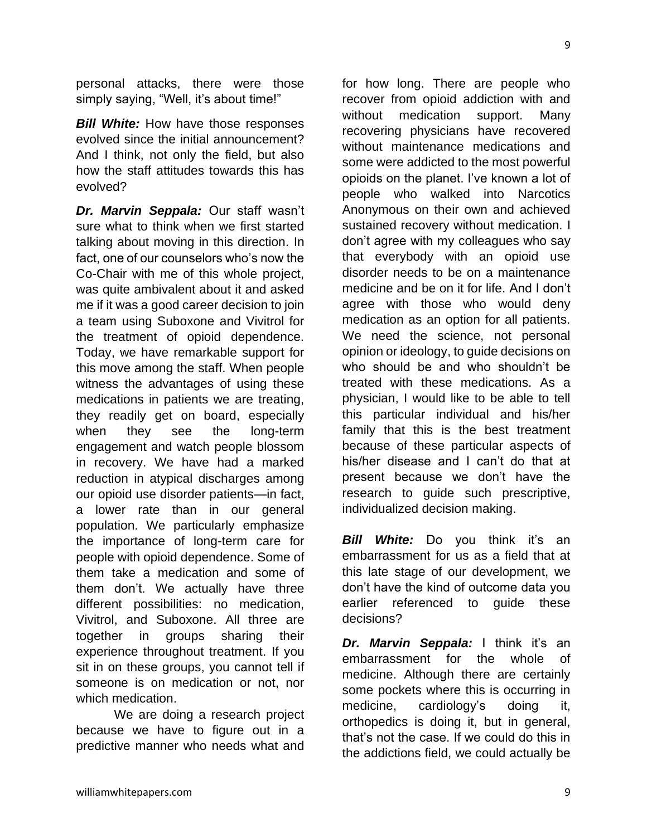personal attacks, there were those simply saying, "Well, it's about time!"

*Bill White:* How have those responses evolved since the initial announcement? And I think, not only the field, but also how the staff attitudes towards this has evolved?

*Dr. Marvin Seppala:* Our staff wasn't sure what to think when we first started talking about moving in this direction. In fact, one of our counselors who's now the Co-Chair with me of this whole project, was quite ambivalent about it and asked me if it was a good career decision to join a team using Suboxone and Vivitrol for the treatment of opioid dependence. Today, we have remarkable support for this move among the staff. When people witness the advantages of using these medications in patients we are treating, they readily get on board, especially when they see the long-term engagement and watch people blossom in recovery. We have had a marked reduction in atypical discharges among our opioid use disorder patients—in fact, a lower rate than in our general population. We particularly emphasize the importance of long-term care for people with opioid dependence. Some of them take a medication and some of them don't. We actually have three different possibilities: no medication, Vivitrol, and Suboxone. All three are together in groups sharing their experience throughout treatment. If you sit in on these groups, you cannot tell if someone is on medication or not, nor which medication.

We are doing a research project because we have to figure out in a predictive manner who needs what and

for how long. There are people who recover from opioid addiction with and without medication support. Many recovering physicians have recovered without maintenance medications and some were addicted to the most powerful opioids on the planet. I've known a lot of people who walked into Narcotics Anonymous on their own and achieved sustained recovery without medication. I don't agree with my colleagues who say that everybody with an opioid use disorder needs to be on a maintenance medicine and be on it for life. And I don't agree with those who would deny medication as an option for all patients. We need the science, not personal opinion or ideology, to guide decisions on who should be and who shouldn't be treated with these medications. As a physician, I would like to be able to tell this particular individual and his/her family that this is the best treatment because of these particular aspects of his/her disease and I can't do that at present because we don't have the research to guide such prescriptive, individualized decision making.

**Bill White:** Do you think it's an embarrassment for us as a field that at this late stage of our development, we don't have the kind of outcome data you earlier referenced to guide these decisions?

*Dr. Marvin Seppala:* I think it's an embarrassment for the whole of medicine. Although there are certainly some pockets where this is occurring in medicine, cardiology's doing it, orthopedics is doing it, but in general, that's not the case. If we could do this in the addictions field, we could actually be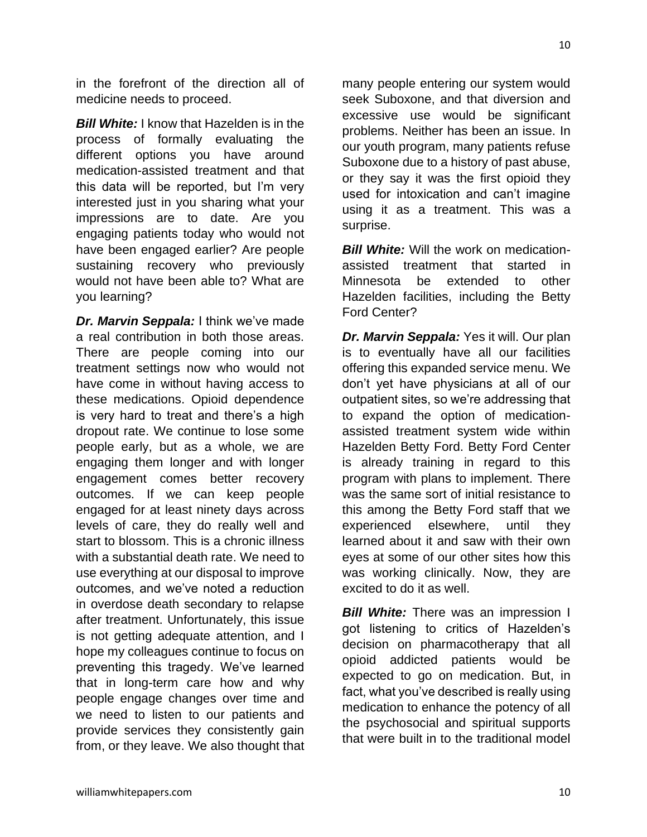in the forefront of the direction all of medicine needs to proceed.

*Bill White:* I know that Hazelden is in the process of formally evaluating the different options you have around medication-assisted treatment and that this data will be reported, but I'm very interested just in you sharing what your impressions are to date. Are you engaging patients today who would not have been engaged earlier? Are people sustaining recovery who previously would not have been able to? What are you learning?

*Dr. Marvin Seppala:* I think we've made a real contribution in both those areas. There are people coming into our treatment settings now who would not have come in without having access to these medications. Opioid dependence is very hard to treat and there's a high dropout rate. We continue to lose some people early, but as a whole, we are engaging them longer and with longer engagement comes better recovery outcomes. If we can keep people engaged for at least ninety days across levels of care, they do really well and start to blossom. This is a chronic illness with a substantial death rate. We need to use everything at our disposal to improve outcomes, and we've noted a reduction in overdose death secondary to relapse after treatment. Unfortunately, this issue is not getting adequate attention, and I hope my colleagues continue to focus on preventing this tragedy. We've learned that in long-term care how and why people engage changes over time and we need to listen to our patients and provide services they consistently gain from, or they leave. We also thought that many people entering our system would seek Suboxone, and that diversion and excessive use would be significant problems. Neither has been an issue. In our youth program, many patients refuse Suboxone due to a history of past abuse, or they say it was the first opioid they used for intoxication and can't imagine using it as a treatment. This was a surprise.

*Bill White:* Will the work on medicationassisted treatment that started in Minnesota be extended to other Hazelden facilities, including the Betty Ford Center?

*Dr. Marvin Seppala:* Yes it will. Our plan is to eventually have all our facilities offering this expanded service menu. We don't yet have physicians at all of our outpatient sites, so we're addressing that to expand the option of medicationassisted treatment system wide within Hazelden Betty Ford. Betty Ford Center is already training in regard to this program with plans to implement. There was the same sort of initial resistance to this among the Betty Ford staff that we experienced elsewhere, until they learned about it and saw with their own eyes at some of our other sites how this was working clinically. Now, they are excited to do it as well.

*Bill White:* There was an impression I got listening to critics of Hazelden's decision on pharmacotherapy that all opioid addicted patients would be expected to go on medication. But, in fact, what you've described is really using medication to enhance the potency of all the psychosocial and spiritual supports that were built in to the traditional model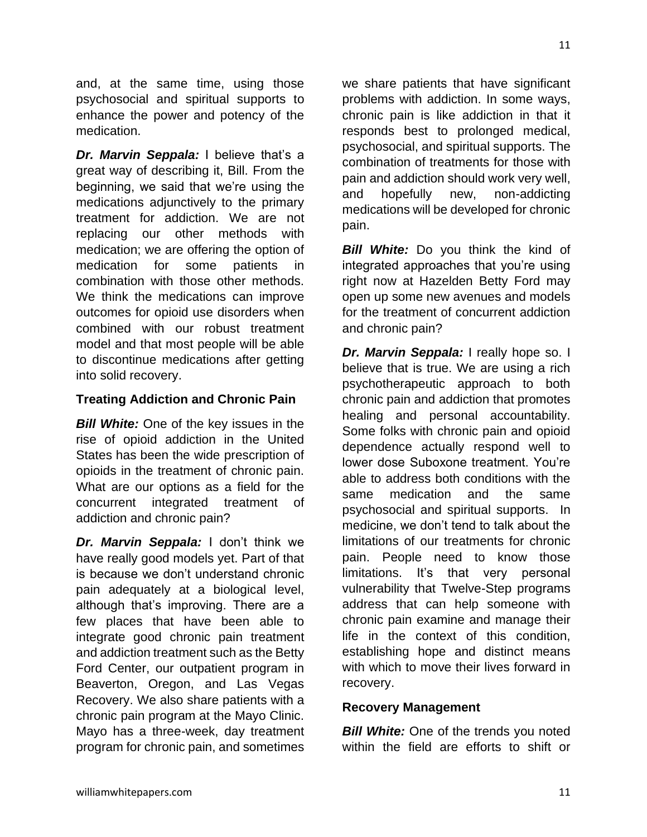and, at the same time, using those psychosocial and spiritual supports to enhance the power and potency of the medication.

*Dr. Marvin Seppala:* I believe that's a great way of describing it, Bill. From the beginning, we said that we're using the medications adjunctively to the primary treatment for addiction. We are not replacing our other methods with medication; we are offering the option of medication for some patients in combination with those other methods. We think the medications can improve outcomes for opioid use disorders when combined with our robust treatment model and that most people will be able to discontinue medications after getting into solid recovery.

#### **Treating Addiction and Chronic Pain**

*Bill White:* One of the key issues in the rise of opioid addiction in the United States has been the wide prescription of opioids in the treatment of chronic pain. What are our options as a field for the concurrent integrated treatment of addiction and chronic pain?

*Dr. Marvin Seppala:* I don't think we have really good models yet. Part of that is because we don't understand chronic pain adequately at a biological level, although that's improving. There are a few places that have been able to integrate good chronic pain treatment and addiction treatment such as the Betty Ford Center, our outpatient program in Beaverton, Oregon, and Las Vegas Recovery. We also share patients with a chronic pain program at the Mayo Clinic. Mayo has a three-week, day treatment program for chronic pain, and sometimes

we share patients that have significant problems with addiction. In some ways, chronic pain is like addiction in that it responds best to prolonged medical, psychosocial, and spiritual supports. The combination of treatments for those with pain and addiction should work very well, and hopefully new, non-addicting medications will be developed for chronic pain.

*Bill White:* Do you think the kind of integrated approaches that you're using right now at Hazelden Betty Ford may open up some new avenues and models for the treatment of concurrent addiction and chronic pain?

*Dr. Marvin Seppala:* I really hope so. I believe that is true. We are using a rich psychotherapeutic approach to both chronic pain and addiction that promotes healing and personal accountability. Some folks with chronic pain and opioid dependence actually respond well to lower dose Suboxone treatment. You're able to address both conditions with the same medication and the same psychosocial and spiritual supports. In medicine, we don't tend to talk about the limitations of our treatments for chronic pain. People need to know those limitations. It's that very personal vulnerability that Twelve-Step programs address that can help someone with chronic pain examine and manage their life in the context of this condition, establishing hope and distinct means with which to move their lives forward in recovery.

#### **Recovery Management**

*Bill White:* One of the trends you noted within the field are efforts to shift or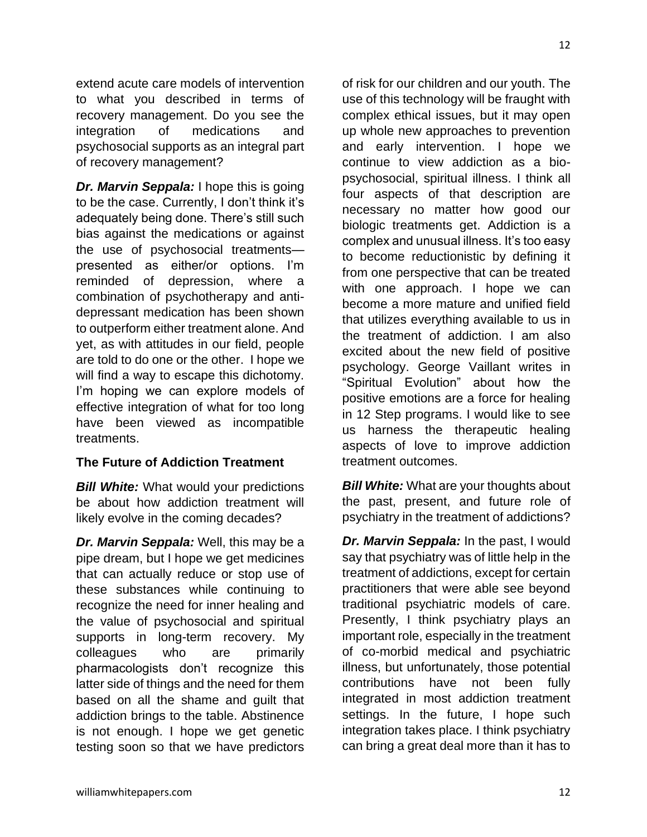extend acute care models of intervention to what you described in terms of recovery management. Do you see the integration of medications and psychosocial supports as an integral part of recovery management?

*Dr. Marvin Seppala:* I hope this is going to be the case. Currently, I don't think it's adequately being done. There's still such bias against the medications or against the use of psychosocial treatments presented as either/or options. I'm reminded of depression, where a combination of psychotherapy and antidepressant medication has been shown to outperform either treatment alone. And yet, as with attitudes in our field, people are told to do one or the other. I hope we will find a way to escape this dichotomy. I'm hoping we can explore models of effective integration of what for too long have been viewed as incompatible treatments.

#### **The Future of Addiction Treatment**

*Bill White:* What would your predictions be about how addiction treatment will likely evolve in the coming decades?

*Dr. Marvin Seppala:* Well, this may be a pipe dream, but I hope we get medicines that can actually reduce or stop use of these substances while continuing to recognize the need for inner healing and the value of psychosocial and spiritual supports in long-term recovery. My colleagues who are primarily pharmacologists don't recognize this latter side of things and the need for them based on all the shame and guilt that addiction brings to the table. Abstinence is not enough. I hope we get genetic testing soon so that we have predictors

of risk for our children and our youth. The use of this technology will be fraught with complex ethical issues, but it may open up whole new approaches to prevention and early intervention. I hope we continue to view addiction as a biopsychosocial, spiritual illness. I think all four aspects of that description are necessary no matter how good our biologic treatments get. Addiction is a complex and unusual illness. It's too easy to become reductionistic by defining it from one perspective that can be treated with one approach. I hope we can become a more mature and unified field that utilizes everything available to us in the treatment of addiction. I am also excited about the new field of positive psychology. George Vaillant writes in "Spiritual Evolution" about how the positive emotions are a force for healing in 12 Step programs. I would like to see us harness the therapeutic healing aspects of love to improve addiction treatment outcomes.

*Bill White:* What are your thoughts about the past, present, and future role of psychiatry in the treatment of addictions?

*Dr. Marvin Seppala:* In the past, I would say that psychiatry was of little help in the treatment of addictions, except for certain practitioners that were able see beyond traditional psychiatric models of care. Presently, I think psychiatry plays an important role, especially in the treatment of co-morbid medical and psychiatric illness, but unfortunately, those potential contributions have not been fully integrated in most addiction treatment settings. In the future, I hope such integration takes place. I think psychiatry can bring a great deal more than it has to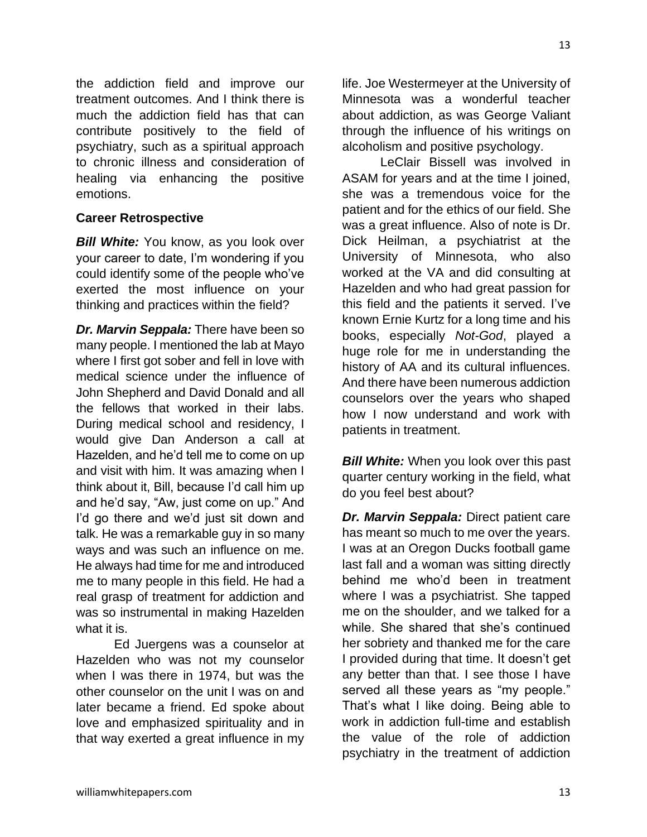the addiction field and improve our treatment outcomes. And I think there is much the addiction field has that can contribute positively to the field of psychiatry, such as a spiritual approach to chronic illness and consideration of healing via enhancing the positive emotions.

#### **Career Retrospective**

*Bill White:* You know, as you look over your career to date, I'm wondering if you could identify some of the people who've exerted the most influence on your thinking and practices within the field?

*Dr. Marvin Seppala:* There have been so many people. I mentioned the lab at Mayo where I first got sober and fell in love with medical science under the influence of John Shepherd and David Donald and all the fellows that worked in their labs. During medical school and residency, I would give Dan Anderson a call at Hazelden, and he'd tell me to come on up and visit with him. It was amazing when I think about it, Bill, because I'd call him up and he'd say, "Aw, just come on up." And I'd go there and we'd just sit down and talk. He was a remarkable guy in so many ways and was such an influence on me. He always had time for me and introduced me to many people in this field. He had a real grasp of treatment for addiction and was so instrumental in making Hazelden what it is.

Ed Juergens was a counselor at Hazelden who was not my counselor when I was there in 1974, but was the other counselor on the unit I was on and later became a friend. Ed spoke about love and emphasized spirituality and in that way exerted a great influence in my

life. Joe Westermeyer at the University of Minnesota was a wonderful teacher about addiction, as was George Valiant through the influence of his writings on alcoholism and positive psychology.

LeClair Bissell was involved in ASAM for years and at the time I joined, she was a tremendous voice for the patient and for the ethics of our field. She was a great influence. Also of note is Dr. Dick Heilman, a psychiatrist at the University of Minnesota, who also worked at the VA and did consulting at Hazelden and who had great passion for this field and the patients it served. I've known Ernie Kurtz for a long time and his books, especially *Not-God*, played a huge role for me in understanding the history of AA and its cultural influences. And there have been numerous addiction counselors over the years who shaped how I now understand and work with patients in treatment.

*Bill White:* When you look over this past quarter century working in the field, what do you feel best about?

*Dr. Marvin Seppala:* Direct patient care has meant so much to me over the years. I was at an Oregon Ducks football game last fall and a woman was sitting directly behind me who'd been in treatment where I was a psychiatrist. She tapped me on the shoulder, and we talked for a while. She shared that she's continued her sobriety and thanked me for the care I provided during that time. It doesn't get any better than that. I see those I have served all these years as "my people." That's what I like doing. Being able to work in addiction full-time and establish the value of the role of addiction psychiatry in the treatment of addiction